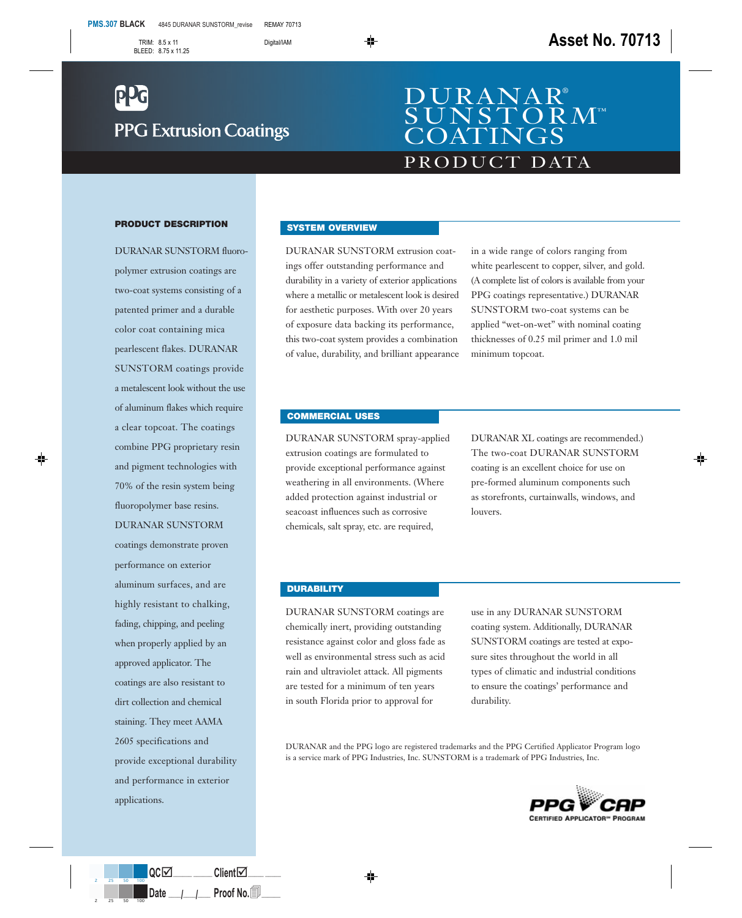# **PPG Extrusion Coatings**

# PRODUCT DATA DURANAR®  $\overline{\rm ~O~R~M}$ ™ COATINGS

#### **PRODUCT DESCRIPTION**

DURANAR SUNSTORM fluoropolymer extrusion coatings are two-coat systems consisting of a patented primer and a durable color coat containing mica pearlescent flakes. DURANAR SUNSTORM coatings provide a metalescent look without the use of aluminum flakes which require a clear topcoat. The coatings combine PPG proprietary resin and pigment technologies with 70% of the resin system being fluoropolymer base resins. DURANAR SUNSTORM coatings demonstrate proven performance on exterior aluminum surfaces, and are highly resistant to chalking, fading, chipping, and peeling when properly applied by an approved applicator. The coatings are also resistant to dirt collection and chemical staining. They meet AAMA 2605 specifications and provide exceptional durability and performance in exterior applications.

## **SYSTEM OVERVIEW**

DURANAR SUNSTORM extrusion coatings offer outstanding performance and durability in a variety of exterior applications where a metallic or metalescent look is desired for aesthetic purposes. With over 20 years of exposure data backing its performance, this two-coat system provides a combination of value, durability, and brilliant appearance in a wide range of colors ranging from white pearlescent to copper, silver, and gold. (A complete list of colors is available from your PPG coatings representative.) DURANAR SUNSTORM two-coat systems can be applied "wet-on-wet" with nominal coating thicknesses of 0.25 mil primer and 1.0 mil minimum topcoat.

## **COMMERCIAL USES**

DURANAR SUNSTORM spray-applied extrusion coatings are formulated to provide exceptional performance against weathering in all environments. (Where added protection against industrial or seacoast influences such as corrosive chemicals, salt spray, etc. are required,

DURANAR XL coatings are recommended.) The two-coat DURANAR SUNSTORM coating is an excellent choice for use on pre-formed aluminum components such as storefronts, curtainwalls, windows, and louvers.

### **DURABILITY**

DURANAR SUNSTORM coatings are chemically inert, providing outstanding resistance against color and gloss fade as well as environmental stress such as acid rain and ultraviolet attack. All pigments are tested for a minimum of ten years in south Florida prior to approval for

use in any DURANAR SUNSTORM coating system. Additionally, DURANAR SUNSTORM coatings are tested at exposure sites throughout the world in all types of climatic and industrial conditions to ensure the coatings' performance and durability.

DURANAR and the PPG logo are registered trademarks and the PPG Certified Applicator Program logo is a service mark of PPG Industries, Inc. SUNSTORM is a trademark of PPG Industries, Inc.